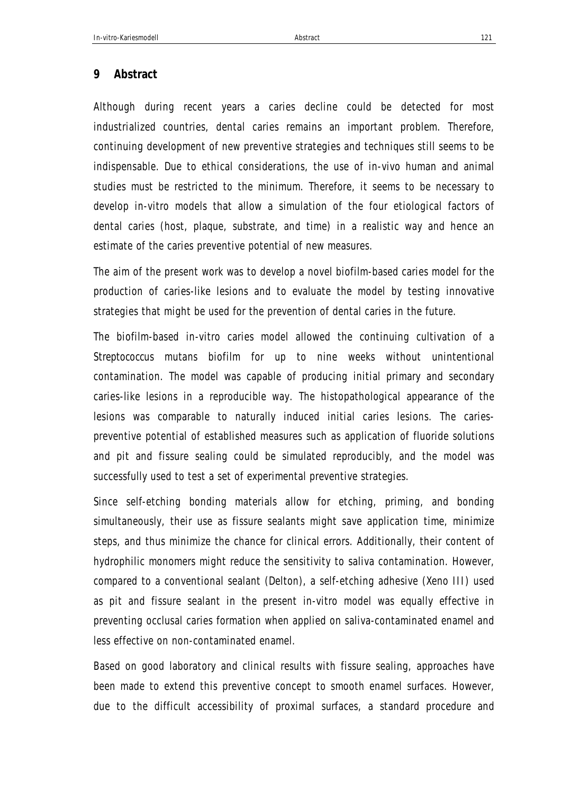## **9 Abstract**

Although during recent years a caries decline could be detected for most industrialized countries, dental caries remains an important problem. Therefore, continuing development of new preventive strategies and techniques still seems to be indispensable. Due to ethical considerations, the use of in-vivo human and animal studies must be restricted to the minimum. Therefore, it seems to be necessary to develop in-vitro models that allow a simulation of the four etiological factors of dental caries (host, plaque, substrate, and time) in a realistic way and hence an estimate of the caries preventive potential of new measures.

The aim of the present work was to develop a novel biofilm-based caries model for the production of caries-like lesions and to evaluate the model by testing innovative strategies that might be used for the prevention of dental caries in the future.

The biofilm-based in-vitro caries model allowed the continuing cultivation of a *Streptococcus mutans* biofilm for up to nine weeks without unintentional contamination. The model was capable of producing initial primary and secondary caries-like lesions in a reproducible way. The histopathological appearance of the lesions was comparable to naturally induced initial caries lesions. The cariespreventive potential of established measures such as application of fluoride solutions and pit and fissure sealing could be simulated reproducibly, and the model was successfully used to test a set of experimental preventive strategies.

Since self-etching bonding materials allow for etching, priming, and bonding simultaneously, their use as fissure sealants might save application time, minimize steps, and thus minimize the chance for clinical errors. Additionally, their content of hydrophilic monomers might reduce the sensitivity to saliva contamination. However, compared to a conventional sealant (Delton), a self-etching adhesive (Xeno III) used as pit and fissure sealant in the present in-vitro model was equally effective in preventing occlusal caries formation when applied on saliva-contaminated enamel and less effective on non-contaminated enamel.

Based on good laboratory and clinical results with fissure sealing, approaches have been made to extend this preventive concept to smooth enamel surfaces. However, due to the difficult accessibility of proximal surfaces, a standard procedure and